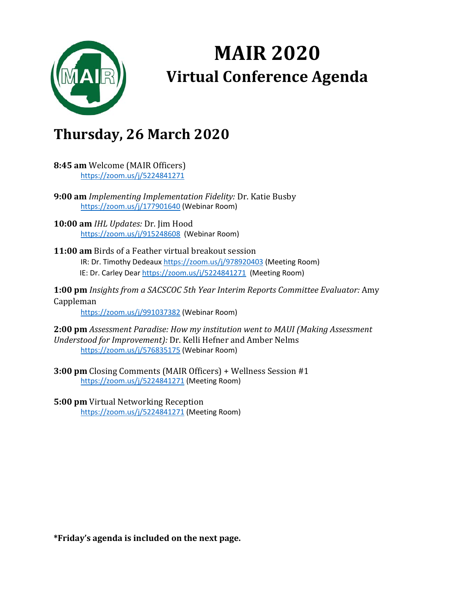

## **MAIR 2020 Virtual Conference Agenda**

## **Thursday, 26 March 2020**

- **8:45 am** Welcome (MAIR Officers) [https://zoom.us/j/5224841271](https://nam01.safelinks.protection.outlook.com/?url=https%3A%2F%2Fzoom.us%2Fj%2F5224841271&data=02%7C01%7Ccdear2%40umc.edu%7C8b0eaa0472354c3d6d0b08d7d10fc612%7C78a0681ef0be47e280498616858818a5%7C0%7C0%7C637207738931574402&sdata=L9Ju3WbEVep3TjJT96KmFiQemSCsrt8NZfHYDUed%2BfA%3D&reserved=0)
- **9:00 am** *Implementing Implementation Fidelity:* Dr. Katie Busby [https://zoom.us/j/177901640](https://nam01.safelinks.protection.outlook.com/?url=https%3A%2F%2Fzoom.us%2Fj%2F177901640&data=02%7C01%7Ccdear2%40umc.edu%7C8b0eaa0472354c3d6d0b08d7d10fc612%7C78a0681ef0be47e280498616858818a5%7C0%7C0%7C637207738931584397&sdata=0R%2FGyX7rAdgZNgVsSJaufafXQ0aSRVG3leZvL%2BlBYnY%3D&reserved=0) (Webinar Room)
- **10:00 am** *IHL Updates:* Dr. Jim Hood [https://zoom.us/j/915248608](https://nam01.safelinks.protection.outlook.com/?url=https%3A%2F%2Fzoom.us%2Fj%2F915248608&data=02%7C01%7Ccdear2%40umc.edu%7C8b0eaa0472354c3d6d0b08d7d10fc612%7C78a0681ef0be47e280498616858818a5%7C0%7C0%7C637207738931584397&sdata=bhbjEN6QcRktii8OXelTTnVJKSxPKKsfyCXf57J8%2BsQ%3D&reserved=0) (Webinar Room)
- **11:00 am** Birds of a Feather virtual breakout session IR: Dr. Timothy Dedeaux [https://zoom.us/j/978920403](https://nam01.safelinks.protection.outlook.com/?url=https%3A%2F%2Fzoom.us%2Fj%2F978920403&data=02%7C01%7Ccdear2%40umc.edu%7C8b0eaa0472354c3d6d0b08d7d10fc612%7C78a0681ef0be47e280498616858818a5%7C0%7C0%7C637207738931594391&sdata=h7pslPY2Po7Xei%2Fliubs1hvAl3AZrUa1fVJmvOtmTdU%3D&reserved=0) (Meeting Room) IE: Dr. Carley Dea[r https://zoom.us/j/5224841271](https://nam01.safelinks.protection.outlook.com/?url=https%3A%2F%2Fzoom.us%2Fj%2F5224841271&data=02%7C01%7Ccdear2%40umc.edu%7C8b0eaa0472354c3d6d0b08d7d10fc612%7C78a0681ef0be47e280498616858818a5%7C0%7C0%7C637207738931594391&sdata=ddlQFWIQXhi0PU5%2FgAGWLLDfxgZjFEipgjuWhFEANPU%3D&reserved=0) (Meeting Room)
- **1:00 pm** *Insights from a SACSCOC 5th Year Interim Reports Committee Evaluator:* Amy Cappleman

[https://zoom.us/j/991037382](https://nam01.safelinks.protection.outlook.com/?url=https%3A%2F%2Fzoom.us%2Fj%2F991037382&data=02%7C01%7Ccdear2%40umc.edu%7C8b0eaa0472354c3d6d0b08d7d10fc612%7C78a0681ef0be47e280498616858818a5%7C0%7C0%7C637207738931604386&sdata=uhY6JtLrOSaLErRJwjafv0oOoNoFh5skgkDMBGASbbI%3D&reserved=0) (Webinar Room)

**2:00 pm** *Assessment Paradise: How my institution went to MAUI (Making Assessment Understood for Improvement):* Dr. Kelli Hefner and Amber Nelms [https://zoom.us/j/576835175](https://nam01.safelinks.protection.outlook.com/?url=https%3A%2F%2Fzoom.us%2Fj%2F576835175&data=02%7C01%7Ccdear2%40umc.edu%7C8b0eaa0472354c3d6d0b08d7d10fc612%7C78a0681ef0be47e280498616858818a5%7C0%7C0%7C637207738931604386&sdata=aFZ3PDtL0YA1W13cRj7NlW%2Fu%2Be47p%2FLoiHcPkaxj3Ps%3D&reserved=0) (Webinar Room)

**3:00 pm** Closing Comments (MAIR Officers) + Wellness Session #1 [https://zoom.us/j/5224841271](https://nam01.safelinks.protection.outlook.com/?url=https%3A%2F%2Fzoom.us%2Fj%2F5224841271&data=02%7C01%7Ccdear2%40umc.edu%7C8b0eaa0472354c3d6d0b08d7d10fc612%7C78a0681ef0be47e280498616858818a5%7C0%7C0%7C637207738931604386&sdata=xCPoY9D8D%2BJLS4fei3mCD0jmJ2KlIEBXrF2IRlwUiu8%3D&reserved=0) (Meeting Room)

**5:00 pm** Virtual Networking Reception [https://zoom.us/j/5224841271](https://nam01.safelinks.protection.outlook.com/?url=https%3A%2F%2Fzoom.us%2Fj%2F5224841271&data=02%7C01%7Ccdear2%40umc.edu%7C8b0eaa0472354c3d6d0b08d7d10fc612%7C78a0681ef0be47e280498616858818a5%7C0%7C0%7C637207738931614381&sdata=of1df1IxLVV8zh3frLU6g%2B4TNrhmXGgiMRie7NU48yo%3D&reserved=0) (Meeting Room)

**\*Friday's agenda is included on the next page.**